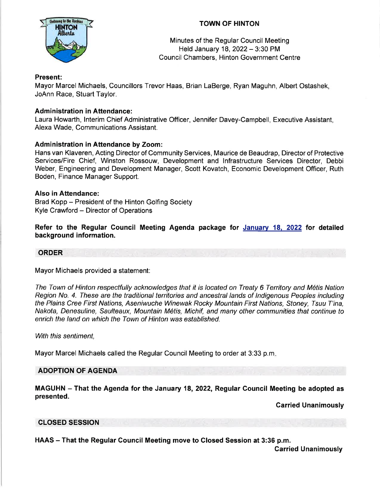

# TOWN OF HINTON

Minutes of the Regular Council Meeting Held January 18, 2022 - 3:30 PM Council Chambers, Hinton Government Centre

### Present:

Mayor Marcel Michaels, Councillors Trevor Haas, Brian LaBerge, Ryan Maguhn, Albert Ostashek, JoAnn Race, Stuart Taylor.

# **Administration in Attendance:**

Laura Howarth, lnterim Chief Administrative Officer, Jennifer Davey-Campbell, Executive Assistant, Alexa Wade, Communications Assistant.

# Administration in Attendance by Zoom:

Hans van Klaveren, Acting Director of Community Services, Maurice de Beaudrap, Director of Protective Services/Fire Chief, Winston Rossouw, Development and lnfrastructure Services Director, Debbi Weber, Engineering and Development Manager, Scott Kovatch, Economic Development Officer, Ruth Boden, Finance Manager Support.

### Also in Attendance:

Brad Kopp - President of the Hinton Golfing Society Kyle Crawford - Director of Operations

Refer to the Regular Council Meeting Agenda package for January 18, 2022 for detailed background information.

# ORDER

Mayor Michaels provided a statement:

The Town of Hinton respectfully acknowledges that it is located on Treaty 6 Territory and M1tis Nation Region No. 4. Ihese are the traditional territories and ancestral lands of lndigenous Peoples including the Plains Cree First Nations, Aseniwuche Winewak Rocky Mountain First Nations, Sfoney, Tsuu T'ina, Nakota, Denesuline, Saulteaux, Mountain M6tis, Michif, and many other communities that continue to enrich the land on which the Town of Hinton was established.

With this sentiment,

Mayor Marcel Michaels called the Regular Council Meeting to order at 3:33 p.m

# ADOPTION OF AGENDA

MAGUHN - That the Agenda for the January 18, 2022, Regular Council Meeting be adopted as presented.

Garried Unanimously

# CLOSED SESSION

HAAS - That the Regular Council Meeting move to Closed Session at 3:36 p.m.

Carried Unanimously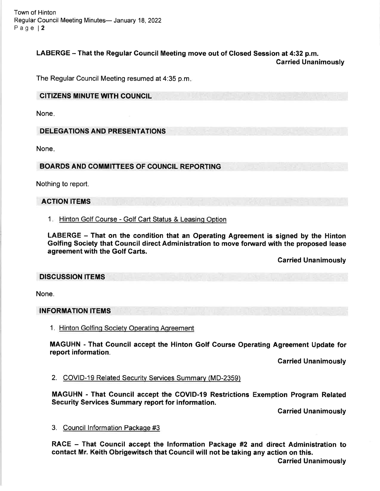Town of Hinton Regular Council Meeting Minutes- January 18, 2022 Page l2

### LABERGE - That the Regular Gouncil Meeting move out of Closed Session at 4:32 p.m. Carried Unanimously

The Regular Council Meeting resumed at 4:35 p.m

#### CITIZENS MINUTE WITH COUNCIL

None

DELEGATIONS AND PRESENTATIONS

None

BOARDS AND COMMITTEES OF COUNCIL REPORTING

Nothing to report.

### ACTION ITEMS

#### 1. <u>Hinton Golf Course - Golf Cart Status</u>

LABERGE - That on the condition that an Operating Agreement is signed by the Hinton Golfing Society that Council direct Administration to move forward with the proposed lease agreement with the Golf Garts.

Garried Unanimously

#### **DISCUSSION ITEMS**

None.

#### INFORMATION ITEMS

1. Hinton Golfinq Societv Operatinq Aqreement

MAGUHN - That Gouncil accept the Hinton Golf Gourse Operating Agreement Update for report information.

**Carried Unanimously** 

2. COVID-19 Related Security Services Summary (MD-2359)

MAGUHN - That Council accept the COVID-I9 Restrictions Exemption Program Related Security Services Summary report for information.

Carried Unanimously

#### 3. Council Information Package #3

RACE - That Council accept the Information Package #2 and direct Administration to contact Mr. Keith Obrigewitsch that Council will not be taking any action on this.

Garried Unanimously